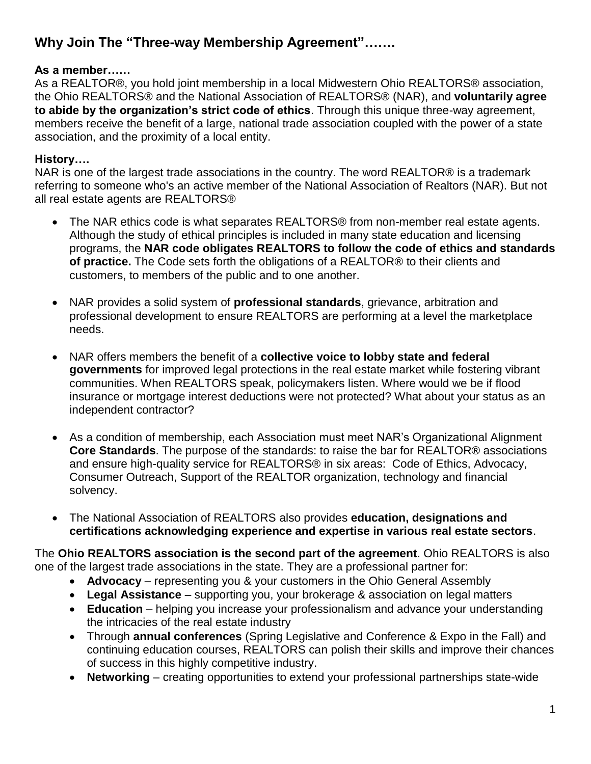# **Why Join The "Three-way Membership Agreement"…….**

#### **As a member……**

As a REALTOR®, you hold joint membership in a local Midwestern Ohio REALTORS® association, the Ohio REALTORS® and the National Association of REALTORS® (NAR), and **voluntarily agree to abide by the organization's strict code of ethics**. Through this unique three-way agreement, members receive the benefit of a large, national trade association coupled with the power of a state association, and the proximity of a local entity.

## **History….**

NAR is one of the largest trade associations in the country. The word REALTOR® is a trademark referring to someone who's an active member of the National Association of Realtors (NAR). But not all real estate agents are REALTORS®

- The NAR ethics code is what separates REALTORS® from non-member real estate agents. Although the study of ethical principles is included in many state education and licensing programs, the **NAR code obligates REALTORS to follow the code of ethics and standards of practice.** The Code sets forth the obligations of a REALTOR® to their clients and customers, to members of the public and to one another.
- NAR provides a solid system of **professional standards**, grievance, arbitration and professional development to ensure REALTORS are performing at a level the marketplace needs.
- NAR offers members the benefit of a **collective voice to lobby state and federal governments** for improved legal protections in the real estate market while fostering vibrant communities. When REALTORS speak, policymakers listen. Where would we be if flood insurance or mortgage interest deductions were not protected? What about your status as an independent contractor?
- As a condition of membership, each Association must meet NAR's Organizational Alignment **Core Standards**. The purpose of the standards: to raise the bar for REALTOR® associations and ensure high-quality service for REALTORS® in six areas: Code of Ethics, Advocacy, Consumer Outreach, Support of the REALTOR organization, technology and financial solvency.
- The National Association of REALTORS also provides **education, designations and certifications acknowledging experience and expertise in various real estate sectors**.

The **Ohio REALTORS association is the second part of the agreement**. Ohio REALTORS is also one of the largest trade associations in the state. They are a professional partner for:

- **Advocacy** representing you & your customers in the Ohio General Assembly
- **Legal Assistance** supporting you, your brokerage & association on legal matters
- **Education** helping you increase your professionalism and advance your understanding the intricacies of the real estate industry
- Through **annual conferences** (Spring Legislative and Conference & Expo in the Fall) and continuing education courses, REALTORS can polish their skills and improve their chances of success in this highly competitive industry.
- **Networking** creating opportunities to extend your professional partnerships state-wide